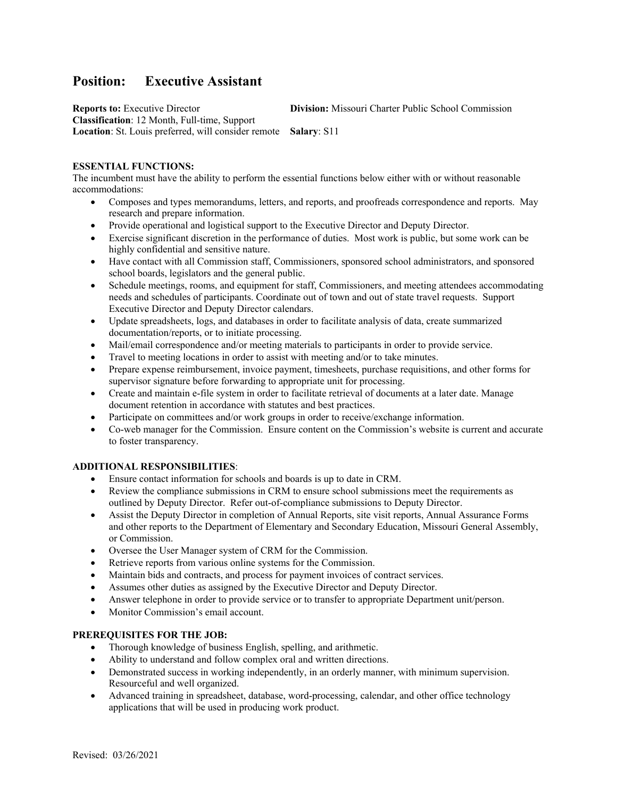# **Position: Executive Assistant**

**Reports to: Executive Director Division: Missouri Charter Public School Commission Classification**: 12 Month, Full-time, Support **Location**: St. Louis preferred, will consider remote **Salary**: S11

## **ESSENTIAL FUNCTIONS:**

The incumbent must have the ability to perform the essential functions below either with or without reasonable accommodations:

- Composes and types memorandums, letters, and reports, and proofreads correspondence and reports. May research and prepare information.
- Provide operational and logistical support to the Executive Director and Deputy Director.
- Exercise significant discretion in the performance of duties. Most work is public, but some work can be highly confidential and sensitive nature.
- Have contact with all Commission staff, Commissioners, sponsored school administrators, and sponsored school boards, legislators and the general public.
- Schedule meetings, rooms, and equipment for staff, Commissioners, and meeting attendees accommodating needs and schedules of participants. Coordinate out of town and out of state travel requests. Support Executive Director and Deputy Director calendars.
- Update spreadsheets, logs, and databases in order to facilitate analysis of data, create summarized documentation/reports, or to initiate processing.
- Mail/email correspondence and/or meeting materials to participants in order to provide service.
- Travel to meeting locations in order to assist with meeting and/or to take minutes.
- Prepare expense reimbursement, invoice payment, timesheets, purchase requisitions, and other forms for supervisor signature before forwarding to appropriate unit for processing.
- Create and maintain e-file system in order to facilitate retrieval of documents at a later date. Manage document retention in accordance with statutes and best practices.
- Participate on committees and/or work groups in order to receive/exchange information.
- Co-web manager for the Commission. Ensure content on the Commission's website is current and accurate to foster transparency.

## **ADDITIONAL RESPONSIBILITIES**:

- Ensure contact information for schools and boards is up to date in CRM.
- Review the compliance submissions in CRM to ensure school submissions meet the requirements as outlined by Deputy Director. Refer out-of-compliance submissions to Deputy Director.
- Assist the Deputy Director in completion of Annual Reports, site visit reports, Annual Assurance Forms and other reports to the Department of Elementary and Secondary Education, Missouri General Assembly, or Commission.
- Oversee the User Manager system of CRM for the Commission.
- Retrieve reports from various online systems for the Commission.
- Maintain bids and contracts, and process for payment invoices of contract services.
- Assumes other duties as assigned by the Executive Director and Deputy Director.
- Answer telephone in order to provide service or to transfer to appropriate Department unit/person.
- Monitor Commission's email account.

## **PREREQUISITES FOR THE JOB:**

- Thorough knowledge of business English, spelling, and arithmetic.
- Ability to understand and follow complex oral and written directions.
- Demonstrated success in working independently, in an orderly manner, with minimum supervision. Resourceful and well organized.
- Advanced training in spreadsheet, database, word-processing, calendar, and other office technology applications that will be used in producing work product.